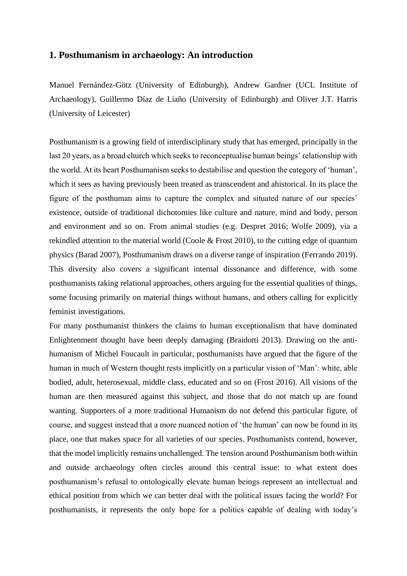## **1. Posthumanism in archaeology: An introduction**

Manuel Fernández-Götz (University of Edinburgh), Andrew Gardner (UCL Institute of Archaeology), Guillermo Díaz de Liaño (University of Edinburgh) and Oliver J.T. Harris (University of Leicester)

Posthumanism is a growing field of interdisciplinary study that has emerged, principally in the last 20 years, as a broad church which seeks to reconceptualise human beings' relationship with the world. At its heart Posthumanism seeks to destabilise and question the category of 'human', which it sees as having previously been treated as transcendent and ahistorical. In its place the figure of the posthuman aims to capture the complex and situated nature of our species' existence, outside of traditional dichotomies like culture and nature, mind and body, person and environment and so on. From animal studies (e.g. Despret 2016; Wolfe 2009), via a rekindled attention to the material world (Coole & Frost 2010), to the cutting edge of quantum physics (Barad 2007), Posthumanism draws on a diverse range of inspiration (Ferrando 2019). This diversity also covers a significant internal dissonance and difference, with some posthumanists taking relational approaches, others arguing for the essential qualities of things, some focusing primarily on material things without humans, and others calling for explicitly feminist investigations.

For many posthumanist thinkers the claims to human exceptionalism that have dominated Enlightenment thought have been deeply damaging (Braidotti 2013). Drawing on the antihumanism of Michel Foucault in particular, posthumanists have argued that the figure of the human in much of Western thought rests implicitly on a particular vision of 'Man': white, able bodied, adult, heterosexual, middle class, educated and so on (Frost 2016). All visions of the human are then measured against this subject, and those that do not match up are found wanting. Supporters of a more traditional Humanism do not defend this particular figure, of course, and suggest instead that a more nuanced notion of 'the human' can now be found in its place, one that makes space for all varieties of our species. Posthumanists contend, however, that the model implicitly remains unchallenged. The tension around Posthumanism both within and outside archaeology often circles around this central issue: to what extent does posthumanism's refusal to ontologically elevate human beings represent an intellectual and ethical position from which we can better deal with the political issues facing the world? For posthumanists, it represents the only hope for a politics capable of dealing with today's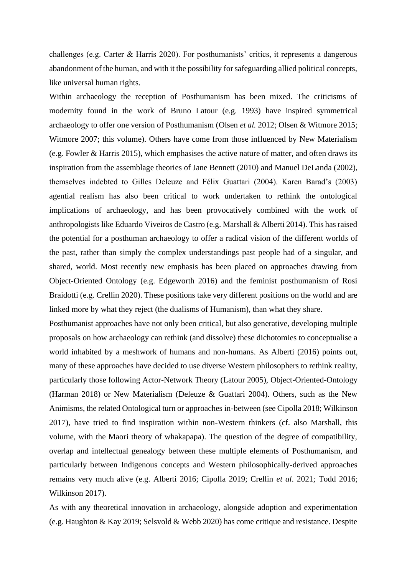challenges (e.g. Carter & Harris 2020). For posthumanists' critics, it represents a dangerous abandonment of the human, and with it the possibility for safeguarding allied political concepts, like universal human rights.

Within archaeology the reception of Posthumanism has been mixed. The criticisms of modernity found in the work of Bruno Latour (e.g. 1993) have inspired symmetrical archaeology to offer one version of Posthumanism (Olsen *et al.* 2012; Olsen & Witmore 2015; Witmore 2007; this volume). Others have come from those influenced by New Materialism (e.g. Fowler & Harris 2015), which emphasises the active nature of matter, and often draws its inspiration from the assemblage theories of Jane Bennett (2010) and Manuel DeLanda (2002), themselves indebted to Gilles Deleuze and Félix Guattari (2004). Karen Barad's (2003) agential realism has also been critical to work undertaken to rethink the ontological implications of archaeology, and has been provocatively combined with the work of anthropologists like Eduardo Viveiros de Castro (e.g. Marshall & Alberti 2014). This has raised the potential for a posthuman archaeology to offer a radical vision of the different world*s* of the past, rather than simply the complex understandings past people had of a singular, and shared, world. Most recently new emphasis has been placed on approaches drawing from Object-Oriented Ontology (e.g. Edgeworth 2016) and the feminist posthumanism of Rosi Braidotti (e.g. Crellin 2020). These positions take very different positions on the world and are linked more by what they reject (the dualisms of Humanism), than what they share.

Posthumanist approaches have not only been critical, but also generative, developing multiple proposals on how archaeology can rethink (and dissolve) these dichotomies to conceptualise a world inhabited by a meshwork of humans and non-humans. As Alberti (2016) points out, many of these approaches have decided to use diverse Western philosophers to rethink reality, particularly those following Actor-Network Theory (Latour 2005), Object-Oriented-Ontology (Harman 2018) or New Materialism (Deleuze & Guattari 2004). Others, such as the New Animisms, the related Ontological turn or approaches in-between (see Cipolla 2018; Wilkinson 2017), have tried to find inspiration within non-Western thinkers (cf. also Marshall, this volume, with the Maori theory of whakapapa). The question of the degree of compatibility, overlap and intellectual genealogy between these multiple elements of Posthumanism, and particularly between Indigenous concepts and Western philosophically-derived approaches remains very much alive (e.g. Alberti 2016; Cipolla 2019; Crellin *et al*. 2021; Todd 2016; Wilkinson 2017).

As with any theoretical innovation in archaeology, alongside adoption and experimentation (e.g. Haughton & Kay 2019; Selsvold & Webb 2020) has come critique and resistance. Despite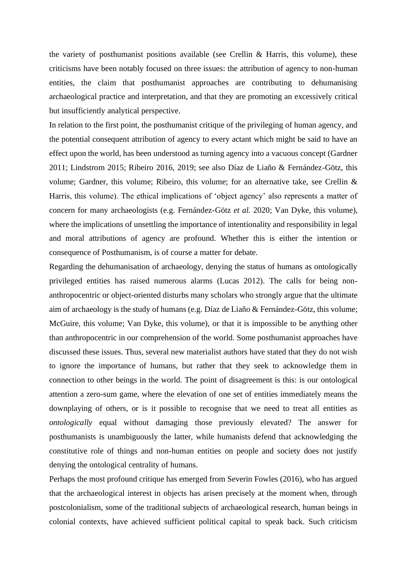the variety of posthumanist positions available (see Crellin & Harris, this volume), these criticisms have been notably focused on three issues: the attribution of agency to non-human entities, the claim that posthumanist approaches are contributing to dehumanising archaeological practice and interpretation, and that they are promoting an excessively critical but insufficiently analytical perspective.

In relation to the first point, the posthumanist critique of the privileging of human agency, and the potential consequent attribution of agency to every actant which might be said to have an effect upon the world, has been understood as turning agency into a vacuous concept (Gardner 2011; Lindstrom 2015; Ribeiro 2016, 2019; see also Díaz de Liaño & Fernández-Götz, this volume; Gardner, this volume; Ribeiro, this volume; for an alternative take, see Crellin & Harris, this volume). The ethical implications of 'object agency' also represents a matter of concern for many archaeologists (e.g. Fernández-Götz *et al.* 2020; Van Dyke, this volume), where the implications of unsettling the importance of intentionality and responsibility in legal and moral attributions of agency are profound. Whether this is either the intention or consequence of Posthumanism, is of course a matter for debate.

Regarding the dehumanisation of archaeology, denying the status of humans as ontologically privileged entities has raised numerous alarms (Lucas 2012). The calls for being nonanthropocentric or object-oriented disturbs many scholars who strongly argue that the ultimate aim of archaeology is the study of humans (e.g. Díaz de Liaño & Fernández-Götz, this volume; McGuire, this volume; Van Dyke, this volume), or that it is impossible to be anything other than anthropocentric in our comprehension of the world. Some posthumanist approaches have discussed these issues. Thus, several new materialist authors have stated that they do not wish to ignore the importance of humans, but rather that they seek to acknowledge them in connection to other beings in the world. The point of disagreement is this: is our ontological attention a zero-sum game, where the elevation of one set of entities immediately means the downplaying of others, or is it possible to recognise that we need to treat all entities as *ontologically* equal without damaging those previously elevated? The answer for posthumanists is unambiguously the latter, while humanists defend that acknowledging the constitutive role of things and non-human entities on people and society does not justify denying the ontological centrality of humans.

Perhaps the most profound critique has emerged from Severin Fowles (2016), who has argued that the archaeological interest in objects has arisen precisely at the moment when, through postcolonialism, some of the traditional subjects of archaeological research, human beings in colonial contexts, have achieved sufficient political capital to speak back. Such criticism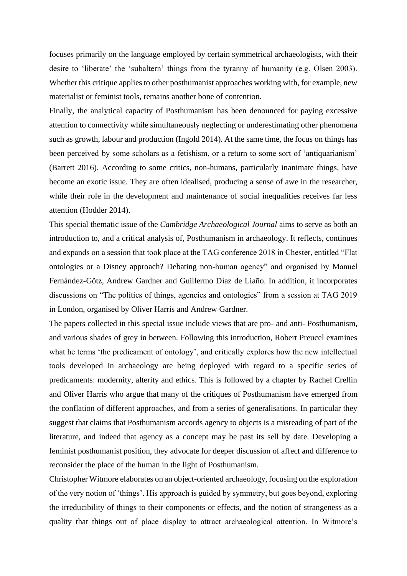focuses primarily on the language employed by certain symmetrical archaeologists, with their desire to 'liberate' the 'subaltern' things from the tyranny of humanity (e.g. Olsen 2003). Whether this critique applies to other posthumanist approaches working with, for example, new materialist or feminist tools, remains another bone of contention.

Finally, the analytical capacity of Posthumanism has been denounced for paying excessive attention to connectivity while simultaneously neglecting or underestimating other phenomena such as growth, labour and production (Ingold 2014). At the same time, the focus on things has been perceived by some scholars as a fetishism, or a return to some sort of 'antiquarianism' (Barrett 2016). According to some critics, non-humans, particularly inanimate things, have become an exotic issue. They are often idealised, producing a sense of awe in the researcher, while their role in the development and maintenance of social inequalities receives far less attention (Hodder 2014).

This special thematic issue of the *Cambridge Archaeological Journal* aims to serve as both an introduction to, and a critical analysis of, Posthumanism in archaeology. It reflects, continues and expands on a session that took place at the TAG conference 2018 in Chester, entitled "Flat ontologies or a Disney approach? Debating non-human agency" and organised by Manuel Fernández-Götz, Andrew Gardner and Guillermo Díaz de Liaño. In addition, it incorporates discussions on "The politics of things, agencies and ontologies" from a session at TAG 2019 in London, organised by Oliver Harris and Andrew Gardner.

The papers collected in this special issue include views that are pro- and anti- Posthumanism, and various shades of grey in between. Following this introduction, Robert Preucel examines what he terms 'the predicament of ontology', and critically explores how the new intellectual tools developed in archaeology are being deployed with regard to a specific series of predicaments: modernity, alterity and ethics. This is followed by a chapter by Rachel Crellin and Oliver Harris who argue that many of the critiques of Posthumanism have emerged from the conflation of different approaches, and from a series of generalisations. In particular they suggest that claims that Posthumanism accords agency to objects is a misreading of part of the literature, and indeed that agency as a concept may be past its sell by date. Developing a feminist posthumanist position, they advocate for deeper discussion of affect and difference to reconsider the place of the human in the light of Posthumanism.

Christopher Witmore elaborates on an object-oriented archaeology, focusing on the exploration of the very notion of 'things'. His approach is guided by symmetry, but goes beyond, exploring the irreducibility of things to their components or effects, and the notion of strangeness as a quality that things out of place display to attract archaeological attention. In Witmore's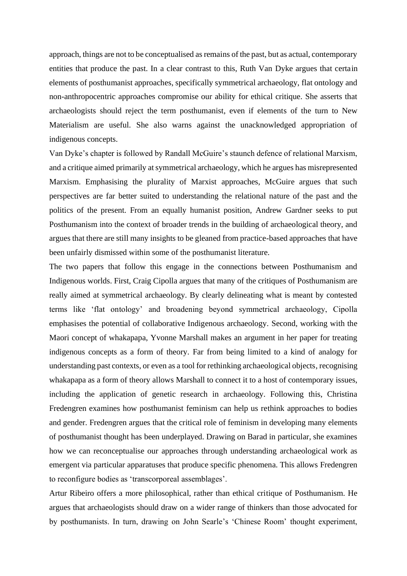approach, things are not to be conceptualised as remains of the past, but as actual, contemporary entities that produce the past. In a clear contrast to this, Ruth Van Dyke argues that certain elements of posthumanist approaches, specifically symmetrical archaeology, flat ontology and non-anthropocentric approaches compromise our ability for ethical critique. She asserts that archaeologists should reject the term posthumanist, even if elements of the turn to New Materialism are useful. She also warns against the unacknowledged appropriation of indigenous concepts.

Van Dyke's chapter is followed by Randall McGuire's staunch defence of relational Marxism, and a critique aimed primarily at symmetrical archaeology, which he argues has misrepresented Marxism. Emphasising the plurality of Marxist approaches, McGuire argues that such perspectives are far better suited to understanding the relational nature of the past and the politics of the present. From an equally humanist position, Andrew Gardner seeks to put Posthumanism into the context of broader trends in the building of archaeological theory, and argues that there are still many insights to be gleaned from practice-based approaches that have been unfairly dismissed within some of the posthumanist literature.

The two papers that follow this engage in the connections between Posthumanism and Indigenous worlds. First, Craig Cipolla argues that many of the critiques of Posthumanism are really aimed at symmetrical archaeology. By clearly delineating what is meant by contested terms like 'flat ontology' and broadening beyond symmetrical archaeology, Cipolla emphasises the potential of collaborative Indigenous archaeology. Second, working with the Maori concept of whakapapa, Yvonne Marshall makes an argument in her paper for treating indigenous concepts as a form of theory. Far from being limited to a kind of analogy for understanding past contexts, or even as a tool for rethinking archaeological objects, recognising whakapapa as a form of theory allows Marshall to connect it to a host of contemporary issues, including the application of genetic research in archaeology. Following this, Christina Fredengren examines how posthumanist feminism can help us rethink approaches to bodies and gender. Fredengren argues that the critical role of feminism in developing many elements of posthumanist thought has been underplayed. Drawing on Barad in particular, she examines how we can reconceptualise our approaches through understanding archaeological work as emergent via particular apparatuses that produce specific phenomena. This allows Fredengren to reconfigure bodies as 'transcorporeal assemblages'.

Artur Ribeiro offers a more philosophical, rather than ethical critique of Posthumanism. He argues that archaeologists should draw on a wider range of thinkers than those advocated for by posthumanists. In turn, drawing on John Searle's 'Chinese Room' thought experiment,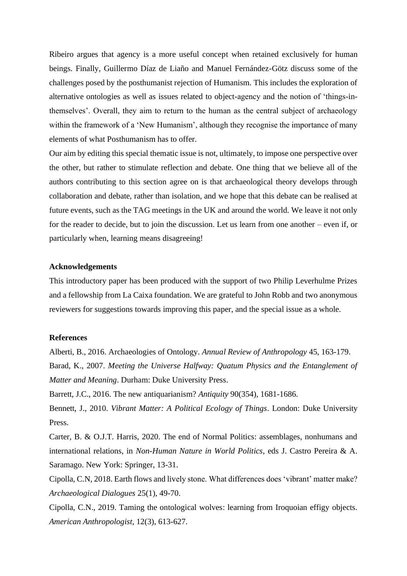Ribeiro argues that agency is a more useful concept when retained exclusively for human beings. Finally, Guillermo Díaz de Liaño and Manuel Fernández-Götz discuss some of the challenges posed by the posthumanist rejection of Humanism. This includes the exploration of alternative ontologies as well as issues related to object-agency and the notion of 'things-inthemselves'. Overall, they aim to return to the human as the central subject of archaeology within the framework of a 'New Humanism', although they recognise the importance of many elements of what Posthumanism has to offer.

Our aim by editing this special thematic issue is not, ultimately, to impose one perspective over the other, but rather to stimulate reflection and debate. One thing that we believe all of the authors contributing to this section agree on is that archaeological theory develops through collaboration and debate, rather than isolation, and we hope that this debate can be realised at future events, such as the TAG meetings in the UK and around the world. We leave it not only for the reader to decide, but to join the discussion. Let us learn from one another – even if, or particularly when, learning means disagreeing!

## **Acknowledgements**

This introductory paper has been produced with the support of two Philip Leverhulme Prizes and a fellowship from La Caixa foundation. We are grateful to John Robb and two anonymous reviewers for suggestions towards improving this paper, and the special issue as a whole.

## **References**

Alberti, B., 2016. Archaeologies of Ontology. *Annual Review of Anthropology* 45, 163-179. Barad, K., 2007. *Meeting the Universe Halfway: Quatum Physics and the Entanglement of Matter and Meaning*. Durham: Duke University Press.

Barrett, J.C., 2016. The new antiquarianism? *Antiquity* 90(354), 1681-1686.

Bennett, J., 2010. *Vibrant Matter: A Political Ecology of Things*. London: Duke University Press.

Carter, B. & O.J.T. Harris, 2020. The end of Normal Politics: assemblages, nonhumans and international relations, in *Non-Human Nature in World Politics*, eds J. Castro Pereira & A. Saramago. New York: Springer, 13-31.

Cipolla, C.N, 2018. Earth flows and lively stone. What differences does 'vibrant' matter make? *Archaeological Dialogues* 25(1), 49-70.

Cipolla, C.N., 2019. Taming the ontological wolves: learning from Iroquoian effigy objects. *American Anthropologist*, 12(3), 613-627.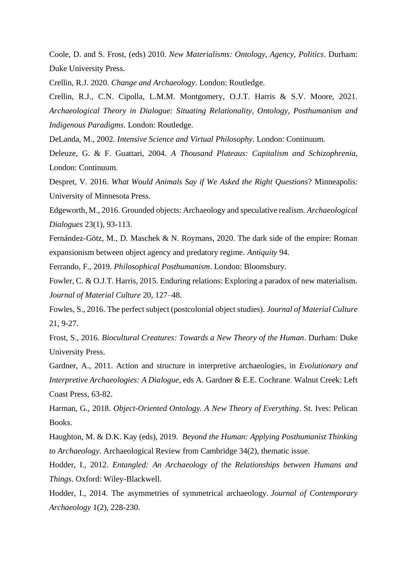Coole, D. and S. Frost, (eds) 2010. *New Materialisms: Ontology, Agency, Politics*. Durham: Duke University Press.

Crellin, R.J. 2020. *Change and Archaeology*. London: Routledge.

Crellin, R.J., C.N. Cipolla, L.M.M. Montgomery, O.J.T. Harris & S.V. Moore, 2021. *Archaeological Theory in Dialogue: Situating Relationality, Ontology, Posthumanism and Indigenous Paradigms.* London: Routledge.

DeLanda, M., 2002. *Intensive Science and Virtual Philosophy*. London: Continuum.

Deleuze, G. & F. Guattari, 2004. *A Thousand Plateaus: Capitalism and Schizophrenia*, London: Continuum.

Despret, V. 2016. *What Would Animals Say if We Asked the Right Questions*? Minneapolis: University of Minnesota Press.

Edgeworth, M., 2016. Grounded objects: Archaeology and speculative realism. *Archaeological Dialogues* 23(1), 93-113.

Fernández-Götz, M., D. Maschek & N. Roymans, 2020. The dark side of the empire: Roman expansionism between object agency and predatory regime. *Antiquity* 94.

Ferrando, F., 2019. *Philosophical Posthumanism*. London: Bloomsbury.

Fowler, C. & O.J.T. Harris, 2015. Enduring relations: Exploring a paradox of new materialism. *Journal of Material Culture* 20, 127–48.

Fowles, S., 2016. The perfect subject (postcolonial object studies). *Journal of Material Culture* 21, 9-27.

Frost, S., 2016. *Biocultural Creatures: Towards a New Theory of the Human*. Durham: Duke University Press.

Gardner, A., 2011. Action and structure in interpretive archaeologies, in *Evolutionary and Interpretive Archaeologies: A Dialogue*, eds A. Gardner & E.E. Cochrane. Walnut Creek: Left Coast Press, 63-82.

Harman, G., 2018. *Object-Oriented Ontology. A New Theory of Everything*. St. Ives: Pelican Books.

Haughton, M. & D.K. Kay (eds), 2019. *Beyond the Human: Applying Posthumanist Thinking to Archaeology*. Archaeological Review from Cambridge 34(2), thematic issue.

Hodder, I., 2012. *Entangled: An Archaeology of the Relationships between Humans and Things*. Oxford: Wiley-Blackwell.

Hodder, I., 2014. The asymmetries of symmetrical archaeology. *Journal of Contemporary Archaeology* 1(2), 228-230.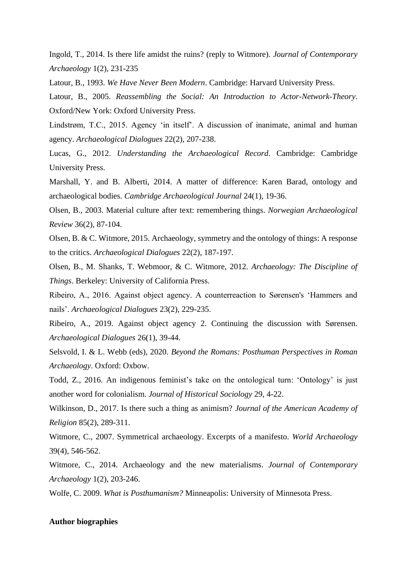Ingold, T., 2014. Is there life amidst the ruins? (reply to Witmore). *Journal of Contemporary Archaeology* 1(2), 231-235

Latour, B., 1993. *We Have Never Been Modern*. Cambridge: Harvard University Press.

Latour, B., 2005. *Reassembling the Social: An Introduction to Actor-Network-Theory*. Oxford/New York: Oxford University Press.

Lindstrøm, T.C., 2015. Agency 'in itself'. A discussion of inanimate, animal and human agency. *Archaeological Dialogues* 22(2), 207-238.

Lucas, G., 2012. *Understanding the Archaeological Record*. Cambridge: Cambridge University Press.

Marshall, Y. and B. Alberti, 2014. A matter of difference: Karen Barad, ontology and archaeological bodies. *Cambridge Archaeological Journal* 24(1), 19-36.

Olsen, B., 2003. Material culture after text: remembering things. *Norwegian Archaeological Review* 36(2), 87-104.

Olsen, B. & C. Witmore, 2015. Archaeology, symmetry and the ontology of things: A response to the critics. *Archaeological Dialogues* 22(2), 187-197.

Olsen, B., M. Shanks, T. Webmoor, & C. Witmore, 2012. *Archaeology: The Discipline of Things*. Berkeley: University of California Press.

Ribeiro, A., 2016. Against object agency. A counterreaction to Sørensen's 'Hammers and nails'. *Archaeological Dialogues* 23(2), 229-235.

Ribeiro, A., 2019. Against object agency 2. Continuing the discussion with Sørensen. *Archaeological Dialogues* 26(1), 39-44.

Selsvold, I. & L. Webb (eds), 2020. *Beyond the Romans: Posthuman Perspectives in Roman Archaeology*. Oxford: Oxbow.

Todd, Z., 2016. An indigenous feminist's take on the ontological turn: 'Ontology' is just another word for colonialism. *Journal of Historical Sociology* 29, 4-22.

Wilkinson, D., 2017. Is there such a thing as animism? *Journal of the American Academy of Religion* 85(2), 289-311.

Witmore, C., 2007. Symmetrical archaeology. Excerpts of a manifesto. *World Archaeology* 39(4), 546-562.

Witmore, C., 2014. Archaeology and the new materialisms. *Journal of Contemporary Archaeology* 1(2), 203-246.

Wolfe, C. 2009. *What is Posthumanism?* Minneapolis: University of Minnesota Press.

## **Author biographies**